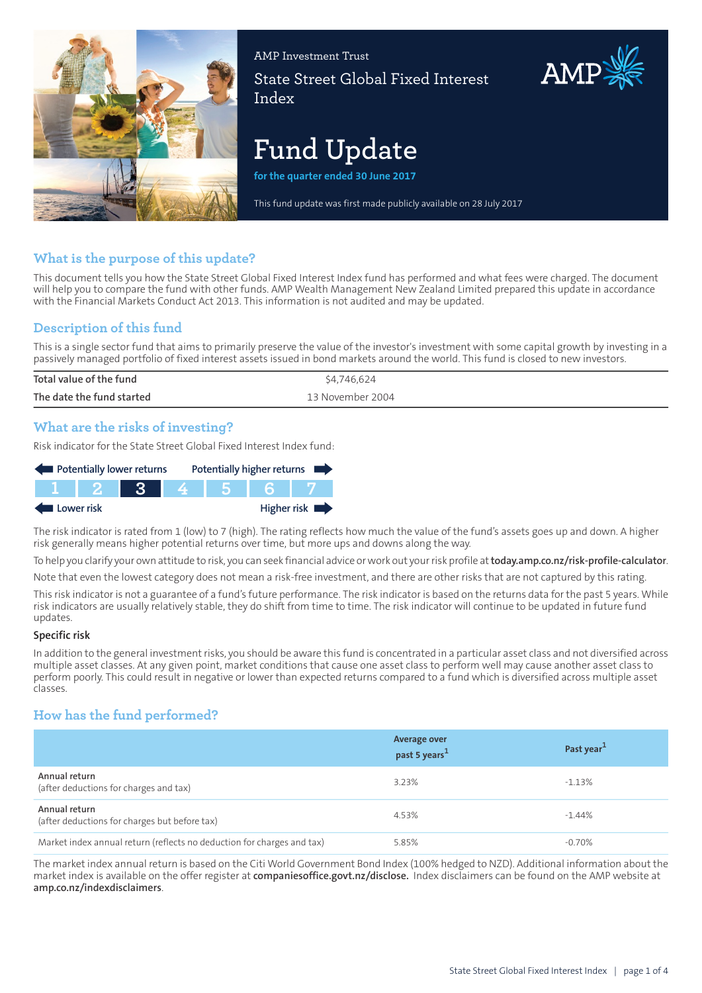

AMP Investment Trust State Street Global Fixed Interest Index

# **Fund Update**

**for the quarter ended 30 June 2017**

This fund update was first made publicly available on 28 July 2017

## **What is the purpose of this update?**

This document tells you how the State Street Global Fixed Interest Index fund has performed and what fees were charged. The document will help you to compare the fund with other funds. AMP Wealth Management New Zealand Limited prepared this update in accordance with the Financial Markets Conduct Act 2013. This information is not audited and may be updated.

## **Description of this fund**

This is a single sector fund that aims to primarily preserve the value of the investor's investment with some capital growth by investing in a passively managed portfolio of fixed interest assets issued in bond markets around the world. This fund is closed to new investors.

| Total value of the fund   | \$4,746,624      |
|---------------------------|------------------|
| The date the fund started | 13 November 2004 |
|                           |                  |

## **What are the risks of investing?**

Risk indicator for the State Street Global Fixed Interest Index fund:

| Potentially lower returns |         |       |     | Potentially higher returns |
|---------------------------|---------|-------|-----|----------------------------|
|                           | TIT 2 F | - 3 - | 456 |                            |
| Lower risk                |         |       |     | Higher risk                |

The risk indicator is rated from 1 (low) to 7 (high). The rating reflects how much the value of the fund's assets goes up and down. A higher risk generally means higher potential returns over time, but more ups and downs along the way.

To help you clarify your own attitude to risk, you can seek financial advice orwork out yourrisk profile at**[today.amp.co.nz/risk-profile-calculator](http://today.amp.co.nz/risk-profile-calculator)**.

Note that even the lowest category does not mean a risk-free investment, and there are other risks that are not captured by this rating.

This risk indicator is not a guarantee of a fund's future performance. The risk indicator is based on the returns data for the past 5 years. While risk indicators are usually relatively stable, they do shift from time to time. The risk indicator will continue to be updated in future fund updates.

#### **Specific risk**

In addition to the general investmentrisks, you should be aware this fund is concentrated in a particular asset class and not diversified across multiple asset classes. At any given point, market conditions that cause one asset class to perform well may cause another asset class to perform poorly. This could result in negative or lower than expected returns compared to a fund which is diversified across multiple asset classes.

# **How has the fund performed?**

|                                                                        | <b>Average over</b><br>past 5 years <sup>1</sup> | Past year <sup>1</sup> |
|------------------------------------------------------------------------|--------------------------------------------------|------------------------|
| Annual return<br>(after deductions for charges and tax)                | 3.23%                                            | $-1.13%$               |
| Annual return<br>(after deductions for charges but before tax)         | 4.53%                                            | $-1.44\%$              |
| Market index annual return (reflects no deduction for charges and tax) | 5.85%                                            | $-0.70\%$              |

The market index annual return is based on the Citi World Government Bond Index (100% hedged to NZD). Additional information about the market index is available on the offer register at **[companiesoffice.govt.nz/disclose.](http://companiesoffice.govt.nz/disclose)** Index disclaimers can be found on the AMP website at **[amp.co.nz/indexdisclaimers](http://amp.co.nz/indexdisclaimers)**.

AMP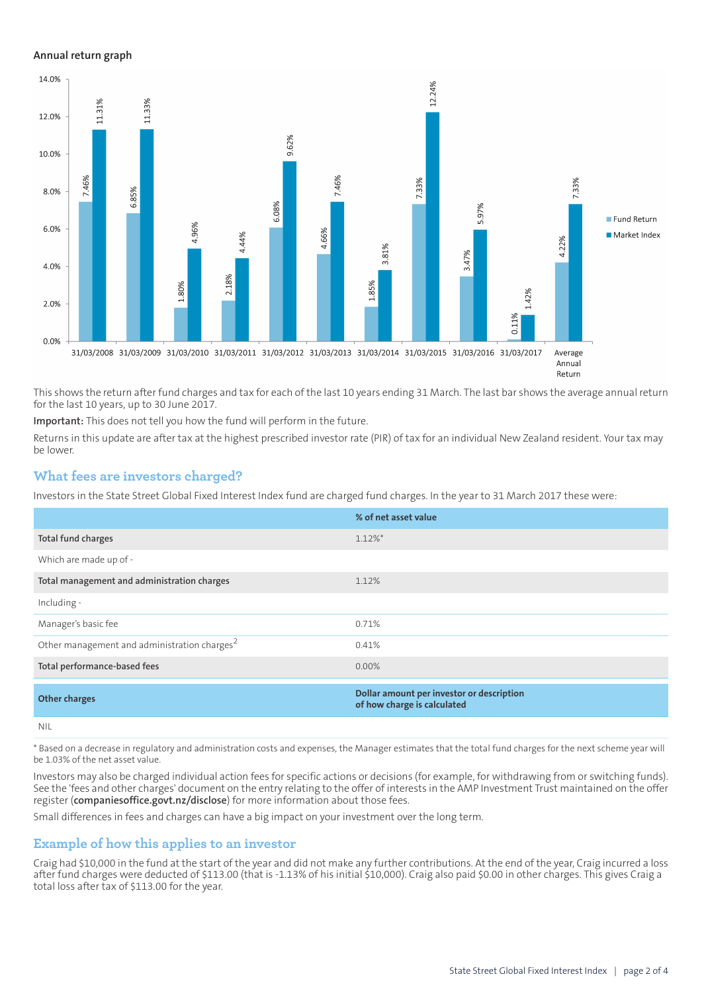#### **Annual return graph**



This shows the return after fund charges and tax for each of the last 10 years ending 31 March. The last bar shows the average annual return for the last 10 years, up to 30 June 2017.

**Important:** This does not tell you how the fund will perform in the future.

Returns in this update are after tax at the highest prescribed investor rate (PIR) of tax for an individual New Zealand resident. Your tax may be lower.

#### **What fees are investors charged?**

Investors in the State Street Global Fixed Interest Index fund are charged fund charges. In the year to 31 March 2017 these were:

|                                                          | % of net asset value                                                     |
|----------------------------------------------------------|--------------------------------------------------------------------------|
| Total fund charges                                       | $1.12\%$ *                                                               |
| Which are made up of -                                   |                                                                          |
| Total management and administration charges              | 1.12%                                                                    |
| Including -                                              |                                                                          |
| Manager's basic fee                                      | 0.71%                                                                    |
| Other management and administration charges <sup>2</sup> | 0.41%                                                                    |
| Total performance-based fees                             | 0.00%                                                                    |
| <b>Other charges</b>                                     | Dollar amount per investor or description<br>of how charge is calculated |
| <b>NIL</b>                                               |                                                                          |

\* Based on a decrease in regulatory and administration costs and expenses, the Manager estimates that the total fund charges for the next scheme year will be 1.03% of the net asset value.

Investors may also be charged individual action fees for specific actions or decisions (for example, for withdrawing from or switching funds). See the 'fees and other charges' document on the entry relating to the offer of interests in the AMP Investment Trust maintained on the offer register (**[companiesoffice.govt.nz/disclose](http://companiesoffice.govt.nz/disclose)**) for more information about those fees.

Small differences in fees and charges can have a big impact on your investment over the long term.

### **Example of how this applies to an investor**

Craig had \$10,000 in the fund at the start of the year and did not make any further contributions. At the end of the year, Craig incurred a loss after fund charges were deducted of \$113.00 (that is -1.13% of his initial \$10,000). Craig also paid \$0.00 in other charges. This gives Craig a total loss after tax of \$113.00 for the year.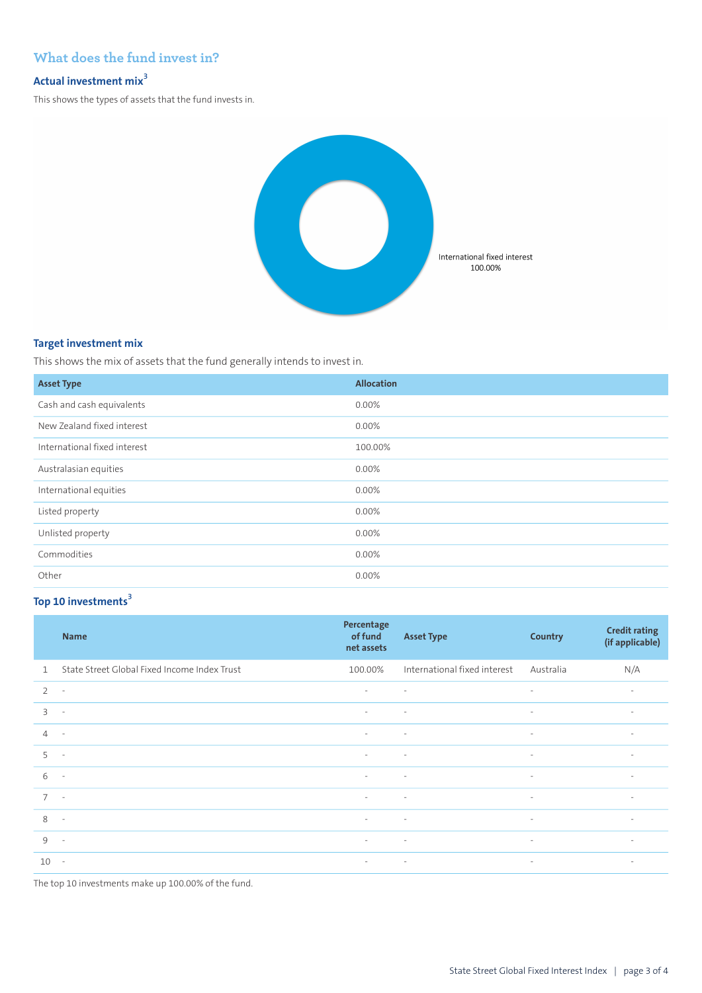# **What does the fund invest in?**

# **Actual investment mix<sup>3</sup>**

This shows the types of assets that the fund invests in.



#### **Target investment mix**

This shows the mix of assets that the fund generally intends to invest in.

| <b>Asset Type</b>            | <b>Allocation</b> |
|------------------------------|-------------------|
| Cash and cash equivalents    | 0.00%             |
| New Zealand fixed interest   | 0.00%             |
| International fixed interest | 100.00%           |
| Australasian equities        | 0.00%             |
| International equities       | 0.00%             |
| Listed property              | 0.00%             |
| Unlisted property            | 0.00%             |
| Commodities                  | 0.00%             |
| Other                        | 0.00%             |

## **Top 10 investments<sup>3</sup>**

|                | <b>Name</b>                                  | Percentage<br>of fund<br>net assets | <b>Asset Type</b>            | <b>Country</b>           | <b>Credit rating</b><br>(if applicable) |
|----------------|----------------------------------------------|-------------------------------------|------------------------------|--------------------------|-----------------------------------------|
| $\mathbf{1}$   | State Street Global Fixed Income Index Trust | 100.00%                             | International fixed interest | Australia                | N/A                                     |
| $\overline{2}$ | $\overline{\phantom{a}}$                     | $\sim$                              | $\sim$                       | $\sim$                   | $\overline{\phantom{a}}$                |
| $\overline{3}$ | $\overline{\phantom{a}}$                     | $\sim$                              | $\overline{\phantom{a}}$     | $\sim$                   | $\overline{\phantom{a}}$                |
| $\overline{4}$ | $\sim$                                       | $\sim$                              | $\sim$                       | $\sim$                   | $\sim$                                  |
| 5              | $\sim$                                       | $\sim$                              | $\sim$                       | $\sim$                   | $\sim$                                  |
| 6              | $\overline{\phantom{a}}$                     | $\sim$                              | $\sim$                       | $\sim$                   | $\sim$                                  |
| $\overline{7}$ | $\sim$                                       | $\sim$                              | $\overline{\phantom{a}}$     | $\overline{\phantom{a}}$ | $\overline{\phantom{a}}$                |
| 8              | $\overline{\phantom{a}}$                     | $\overline{\phantom{a}}$            | $\sim$                       | $\sim$                   | $\sim$                                  |
| 9              | $\overline{\phantom{a}}$                     | $\sim$                              | $\sim 100$                   | $\sim$                   | $\overline{\phantom{a}}$                |
| 10             | $\sim$                                       | <b>All Control</b>                  | $\sim 100$ km s $^{-1}$      | $\sim$                   | $\sim$                                  |

The top 10 investments make up 100.00% of the fund.